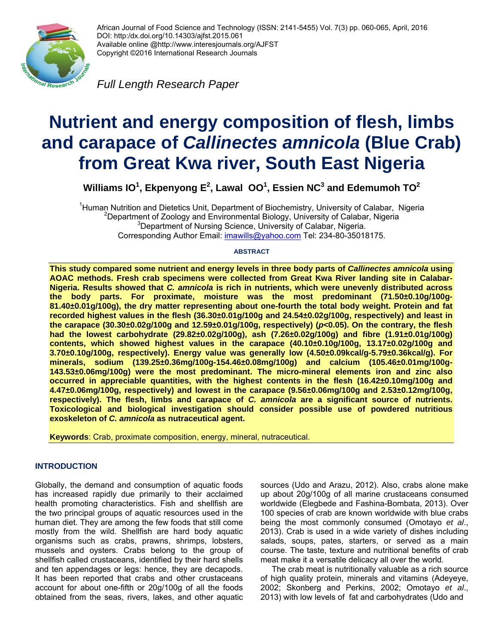

African Journal of Food Science and Technology (ISSN: 2141-5455) Vol. 7(3) pp. 060-065, April, 2016 DOI: http:/dx.doi.org/10.14303/ajfst.2015.061 Available online @http://www.interesjournals.org/AJFST Copyright ©2016 International Research Journals

*Full Length Research Paper* 

# **Nutrient and energy composition of flesh, limbs and carapace of** *Callinectes amnicola* **(Blue Crab) from Great Kwa river, South East Nigeria**

Williams IO $^1$ , Ekpenyong E $^2$ , Lawal OO $^1$ , Essien NC $^3$  and Edemumoh TO $^2$ 

<sup>1</sup>Human Nutrition and Dietetics Unit, Department of Biochemistry, University of Calabar, Nigeria <sup>2</sup>Department of Zoology and Environmental Biology, University of Calabar, Nigeria <sup>3</sup>Department of Nursing Science, University of Calabar, Nigeria. Corresponding Author Email: imawills@yahoo.com Tel: 234-80-35018175.

#### **ABSTRACT**

**This study compared some nutrient and energy levels in three body parts of** *Callinectes amnicola* **using AOAC methods. Fresh crab specimens were collected from Great Kwa River landing site in Calabar-Nigeria. Results showed that** *C. amnicola* **is rich in nutrients, which were unevenly distributed across the body parts. For proximate, moisture was the most predominant (71.50±0.10g/100g-81.40±0.01g/100g), the dry matter representing about one-fourth the total body weight. Protein and fat recorded highest values in the flesh (36.30±0.01g/100g and 24.54±0.02g/100g, respectively) and least in the carapace (30.30±0.02g/100g and 12.59±0.01g/100g, respectively) (***p***<0.05). On the contrary, the flesh had the lowest carbohydrate (29.82±0.02g/100g), ash (7.26±0.02g/100g) and fibre (1.91±0.01g/100g) contents, which showed highest values in the carapace (40.10±0.10g/100g, 13.17±0.02g/100g and 3.70±0.10g/100g, respectively). Energy value was generally low (4.50±0.09kcal/g-5.79±0.36kcal/g). For minerals, sodium (139.25±0.36mg/100g-154.46±0.08mg/100g) and calcium (105.46±0.01mg/100g-143.53±0.06mg/100g) were the most predominant. The micro-mineral elements iron and zinc also occurred in appreciable quantities, with the highest contents in the flesh (16.42±0.10mg/100g and 4.47±0.06mg/100g, respectively) and lowest in the carapace (9.56±0.06mg/100g and 2.53±0.12mg/100g, respectively). The flesh, limbs and carapace of** *C. amnicola* **are a significant source of nutrients. Toxicological and biological investigation should consider possible use of powdered nutritious exoskeleton of** *C. amnicola* **as nutraceutical agent.** 

**Keywords**: Crab, proximate composition, energy, mineral, nutraceutical.

# **INTRODUCTION**

Globally, the demand and consumption of aquatic foods has increased rapidly due primarily to their acclaimed health promoting characteristics. Fish and shellfish are the two principal groups of aquatic resources used in the human diet. They are among the few foods that still come mostly from the wild. Shellfish are hard body aquatic organisms such as crabs, prawns, shrimps, lobsters, mussels and oysters. Crabs belong to the group of shellfish called crustaceans, identified by their hard shells and ten appendages or legs: hence, they are decapods. It has been reported that crabs and other crustaceans account for about one-fifth or 20g/100g of all the foods obtained from the seas, rivers, lakes, and other aquatic

sources (Udo and Arazu, 2012). Also, crabs alone make up about 20g/100g of all marine crustaceans consumed worldwide (Elegbede and Fashina-Bombata, 2013). Over 100 species of crab are known worldwide with blue crabs being the most commonly consumed (Omotayo *et al*., 2013). Crab is used in a wide variety of dishes including salads, soups, pates, starters, or served as a main course. The taste, texture and nutritional benefits of crab meat make it a versatile delicacy all over the world.

 The crab meat is nutritionally valuable as a rich source of high quality protein, minerals and vitamins (Adeyeye, 2002; Skonberg and Perkins, 2002; Omotayo *et al*., 2013) with low levels of fat and carbohydrates (Udo and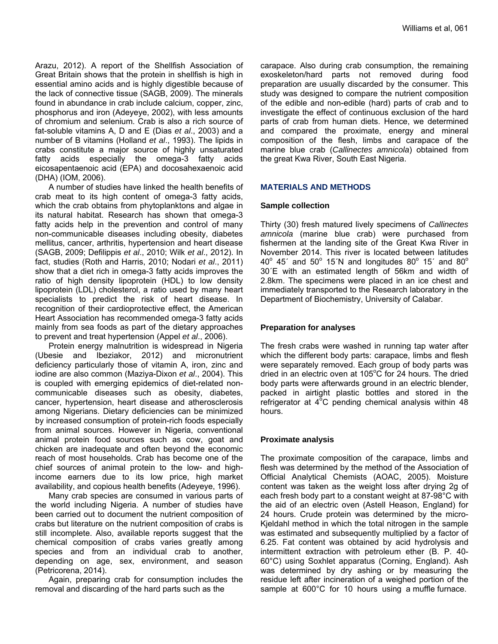Arazu, 2012). A report of the Shellfish Association of Great Britain shows that the protein in shellfish is high in essential amino acids and is highly digestible because of the lack of connective tissue (SAGB, 2009). The minerals found in abundance in crab include calcium, copper, zinc, phosphorus and iron (Adeyeye, 2002), with less amounts of chromium and selenium. Crab is also a rich source of fat-soluble vitamins A, D and E (Dias *et al*., 2003) and a number of B vitamins (Holland *et al*., 1993). The lipids in crabs constitute a major source of highly unsaturated fatty acids especially the omega-3 fatty acids eicosapentaenoic acid (EPA) and docosahexaenoic acid (DHA) (IOM, 2006).

 A number of studies have linked the health benefits of crab meat to its high content of omega-3 fatty acids, which the crab obtains from phytoplanktons and algae in its natural habitat. Research has shown that omega-3 fatty acids help in the prevention and control of many non-communicable diseases including obesity, diabetes mellitus, cancer, arthritis, hypertension and heart disease (SAGB, 2009; Defilippis *et al*., 2010; Wilk *et al*., 2012). In fact, studies (Roth and Harris, 2010; Nodari *et al*., 2011) show that a diet rich in omega-3 fatty acids improves the ratio of high density lipoprotein (HDL) to low density lipoprotein (LDL) cholesterol, a ratio used by many heart specialists to predict the risk of heart disease. In recognition of their cardioprotective effect, the American Heart Association has recommended omega-3 fatty acids mainly from sea foods as part of the dietary approaches to prevent and treat hypertension (Appel *et al*., 2006).

 Protein energy malnutrition is widespread in Nigeria (Ubesie and Ibeziakor, 2012) and micronutrient deficiency particularly those of vitamin A, iron, zinc and iodine are also common (Maziya-Dixon *et al*., 2004). This is coupled with emerging epidemics of diet-related noncommunicable diseases such as obesity, diabetes, cancer, hypertension, heart disease and atherosclerosis among Nigerians. Dietary deficiencies can be minimized by increased consumption of protein-rich foods especially from animal sources. However in Nigeria, conventional animal protein food sources such as cow, goat and chicken are inadequate and often beyond the economic reach of most households. Crab has become one of the chief sources of animal protein to the low- and highincome earners due to its low price, high market availability, and copious health benefits (Adeyeye, 1996).

 Many crab species are consumed in various parts of the world including Nigeria. A number of studies have been carried out to document the nutrient composition of crabs but literature on the nutrient composition of crabs is still incomplete. Also, available reports suggest that the chemical composition of crabs varies greatly among species and from an individual crab to another, depending on age, sex, environment, and season (Petricorena, 2014).

 Again, preparing crab for consumption includes the removal and discarding of the hard parts such as the

carapace. Also during crab consumption, the remaining exoskeleton/hard parts not removed during food preparation are usually discarded by the consumer. This study was designed to compare the nutrient composition of the edible and non-edible (hard) parts of crab and to investigate the effect of continuous exclusion of the hard parts of crab from human diets. Hence, we determined and compared the proximate, energy and mineral composition of the flesh, limbs and carapace of the marine blue crab (*Callinectes amnicola*) obtained from the great Kwa River, South East Nigeria.

#### **MATERIALS AND METHODS**

#### **Sample collection**

Thirty (30) fresh matured lively specimens of *Callinectes amnicola* (marine blue crab) were purchased from fishermen at the landing site of the Great Kwa River in November 2014. This river is located between latitudes  $40^{\circ}$  45' and 50 $^{\circ}$  15'N and longitudes 80 $^{\circ}$  15' and 80 $^{\circ}$ 30´E with an estimated length of 56km and width of 2.8km. The specimens were placed in an ice chest and immediately transported to the Research laboratory in the Department of Biochemistry, University of Calabar.

#### **Preparation for analyses**

The fresh crabs were washed in running tap water after which the different body parts: carapace, limbs and flesh were separately removed. Each group of body parts was dried in an electric oven at 105 $^{\circ}$ C for 24 hours. The dried body parts were afterwards ground in an electric blender, packed in airtight plastic bottles and stored in the refrigerator at  $4^{\circ}$ C pending chemical analysis within 48 hours.

#### **Proximate analysis**

The proximate composition of the carapace, limbs and flesh was determined by the method of the Association of Official Analytical Chemists (AOAC, 2005). Moisture content was taken as the weight loss after drying 2g of each fresh body part to a constant weight at 87-98°C with the aid of an electric oven (Astell Heason, England) for 24 hours. Crude protein was determined by the micro-Kjeldahl method in which the total nitrogen in the sample was estimated and subsequently multiplied by a factor of 6.25. Fat content was obtained by acid hydrolysis and intermittent extraction with petroleum ether (B. P. 40- 60°C) using Soxhlet apparatus (Corning, England). Ash was determined by dry ashing or by measuring the residue left after incineration of a weighed portion of the sample at 600°C for 10 hours using a muffle furnace.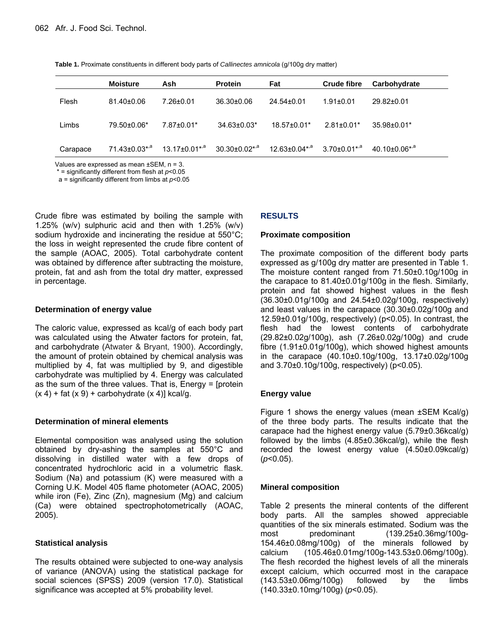**Table 1.** Proximate constituents in different body parts of *Callinectes amnicola* (g/100g dry matter)

|          | <b>Moisture</b>                 | Ash                       | <b>Protein</b>            | Fat                       | <b>Crude fibre</b>             | Carbohydrate                  |
|----------|---------------------------------|---------------------------|---------------------------|---------------------------|--------------------------------|-------------------------------|
| Flesh    | $81.40 \pm 0.06$                | $7.26 \pm 0.01$           | $36.30 \pm 0.06$          | 24.54±0.01                | $1.91 \pm 0.01$                | 29.82±0.01                    |
| Limbs    | 79.50±0.06*                     | 7.87±0.01*                | $34.63 \pm 0.03$ *        | $18.57 \pm 0.01*$         | $2.81 \pm 0.01*$               | $35.98 \pm 0.01*$             |
| Carapace | $71.43 \pm 0.03$ <sup>*,a</sup> | 13.17±0.01* <sup>,a</sup> | 30.30±0.02* <sup>,a</sup> | 12.63±0.04* <sup>,a</sup> | $3.70 \pm 0.01$ <sup>*,a</sup> | $40.10 + 0.06$ * <sup>3</sup> |

Values are expressed as mean ±SEM, n = 3.

\* = significantly different from flesh at *p*<0.05

a = significantly different from limbs at  $p$ <0.05

Crude fibre was estimated by boiling the sample with 1.25% (w/v) sulphuric acid and then with 1.25% (w/v) sodium hydroxide and incinerating the residue at 550°C; the loss in weight represented the crude fibre content of the sample (AOAC, 2005). Total carbohydrate content was obtained by difference after subtracting the moisture, protein, fat and ash from the total dry matter, expressed in percentage.

#### **Determination of energy value**

The caloric value, expressed as kcal/g of each body part was calculated using the Atwater factors for protein, fat, and carbohydrate (Atwater & Bryant, 1900). Accordingly, the amount of protein obtained by chemical analysis was multiplied by 4, fat was multiplied by 9, and digestible carbohydrate was multiplied by 4. Energy was calculated as the sum of the three values. That is, Energy = [protein  $(x 4)$  + fat  $(x 9)$  + carbohydrate  $(x 4)$ ] kcal/g.

#### **Determination of mineral elements**

Elemental composition was analysed using the solution obtained by dry-ashing the samples at 550°C and dissolving in distilled water with a few drops of concentrated hydrochloric acid in a volumetric flask. Sodium (Na) and potassium (K) were measured with a Corning U.K. Model 405 flame photometer (AOAC, 2005) while iron (Fe), Zinc (Zn), magnesium (Mg) and calcium (Ca) were obtained spectrophotometrically (AOAC, 2005).

#### **Statistical analysis**

The results obtained were subjected to one-way analysis of variance (ANOVA) using the statistical package for social sciences (SPSS) 2009 (version 17.0). Statistical significance was accepted at 5% probability level.

### **RESULTS**

#### **Proximate composition**

The proximate composition of the different body parts expressed as g/100g dry matter are presented in Table 1. The moisture content ranged from 71.50±0.10g/100g in the carapace to 81.40±0.01g/100g in the flesh. Similarly, protein and fat showed highest values in the flesh (36.30±0.01g/100g and 24.54±0.02g/100g, respectively) and least values in the carapace (30.30±0.02g/100g and 12.59±0.01g/100g, respectively) (p<0.05). In contrast, the flesh had the lowest contents of carbohydrate (29.82±0.02g/100g), ash (7.26±0.02g/100g) and crude fibre (1.91±0.01g/100g), which showed highest amounts in the carapace (40.10±0.10g/100g, 13.17±0.02g/100g and 3.70±0.10g/100g, respectively) (p<0.05).

# **Energy value**

Figure 1 shows the energy values (mean ±SEM Kcal/g) of the three body parts. The results indicate that the carapace had the highest energy value (5.79±0.36kcal/g) followed by the limbs (4.85±0.36kcal/g), while the flesh recorded the lowest energy value (4.50±0.09kcal/g) (*p*<0.05).

#### **Mineral composition**

Table 2 presents the mineral contents of the different body parts. All the samples showed appreciable quantities of the six minerals estimated. Sodium was the most predominant (139.25±0.36mg/100g-154.46±0.08mg/100g) of the minerals followed by calcium (105.46±0.01mg/100g-143.53±0.06mg/100g). The flesh recorded the highest levels of all the minerals except calcium, which occurred most in the carapace (143.53±0.06mg/100g) followed by the limbs (140.33±0.10mg/100g) (*p*<0.05).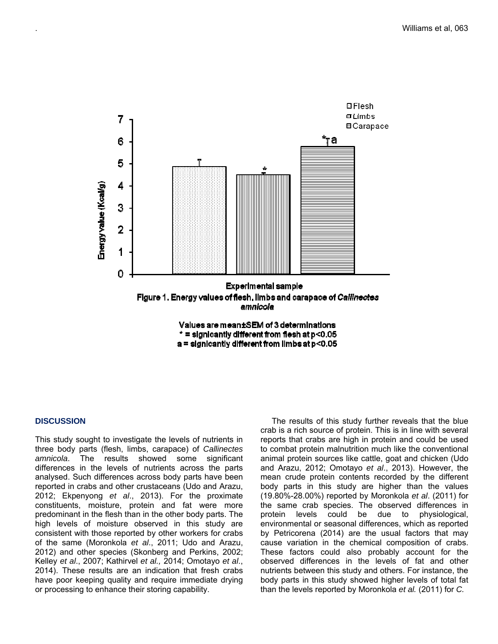

#### **DISCUSSION**

This study sought to investigate the levels of nutrients in three body parts (flesh, limbs, carapace) of *Callinectes amnicola*. The results showed some significant differences in the levels of nutrients across the parts analysed. Such differences across body parts have been reported in crabs and other crustaceans (Udo and Arazu, 2012; Ekpenyong *et al*., 2013). For the proximate constituents, moisture, protein and fat were more predominant in the flesh than in the other body parts. The high levels of moisture observed in this study are consistent with those reported by other workers for crabs of the same (Moronkola *et al*., 2011; Udo and Arazu, 2012) and other species (Skonberg and Perkins, 2002; Kelley *et al*., 2007; Kathirvel *et al.,* 2014; Omotayo *et al*., 2014). These results are an indication that fresh crabs have poor keeping quality and require immediate drying or processing to enhance their storing capability.

 The results of this study further reveals that the blue crab is a rich source of protein. This is in line with several reports that crabs are high in protein and could be used to combat protein malnutrition much like the conventional animal protein sources like cattle, goat and chicken (Udo and Arazu, 2012; Omotayo *et al*., 2013). However, the mean crude protein contents recorded by the different body parts in this study are higher than the values (19.80%-28.00%) reported by Moronkola *et al*. (2011) for the same crab species. The observed differences in protein levels could be due to physiological, environmental or seasonal differences, which as reported by Petricorena (2014) are the usual factors that may cause variation in the chemical composition of crabs. These factors could also probably account for the observed differences in the levels of fat and other nutrients between this study and others. For instance, the body parts in this study showed higher levels of total fat than the levels reported by Moronkola *et al.* (2011) for *C.*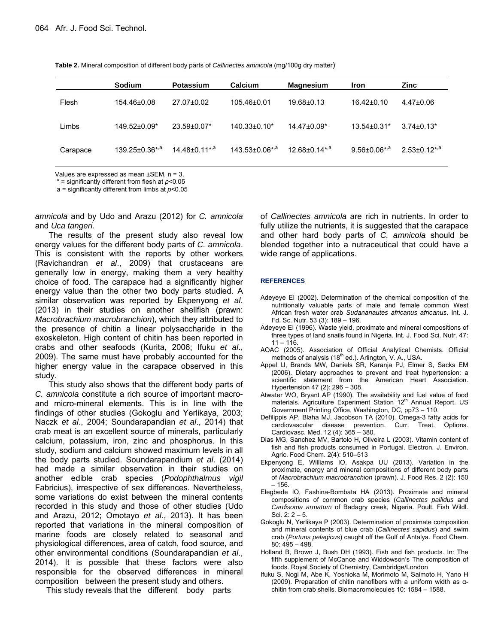|  |  | Table 2. Mineral composition of different body parts of Callinectes amnicola (mg/100g dry matter) |  |  |
|--|--|---------------------------------------------------------------------------------------------------|--|--|
|--|--|---------------------------------------------------------------------------------------------------|--|--|

|          | Sodium                     | Potassium              | Calcium                    | <b>Magnesium</b>                | <b>Iron</b>                    | <b>Zinc</b>                    |
|----------|----------------------------|------------------------|----------------------------|---------------------------------|--------------------------------|--------------------------------|
| Flesh    | 154.46±0.08                | 27.07±0.02             | 105.46±0.01                | 19.68±0.13                      | $16.42 \pm 0.10$               | $4.47 \pm 0.06$                |
| Limbs    | 149.52±0.09*               | $23.59 \pm 0.07$ *     | $140.33 \pm 0.10^*$        | 14.47±0.09*                     | $13.54 \pm 0.31*$              | $3.74\pm0.13*$                 |
| Carapace | 139.25±0.36* <sup>,a</sup> | $14.48 \pm 0.11^{*,a}$ | 143.53±0.06*, <sup>a</sup> | $12.68 \pm 0.14$ <sup>*,a</sup> | $9.56 \pm 0.06$ * <sup>3</sup> | $2.53 \pm 0.12$ <sup>*,a</sup> |

Values are expressed as mean  $\pm$ SEM, n = 3.

\* = significantly different from flesh at *p*<0.05

a = significantly different from limbs at *p*<0.05

*amnicola* and by Udo and Arazu (2012) for *C. amnicola* and *Uca tangeri*.

 The results of the present study also reveal low energy values for the different body parts of *C. amnicola*. This is consistent with the reports by other workers (Ravichandran *et al*., 2009) that crustaceans are generally low in energy, making them a very healthy choice of food. The carapace had a significantly higher energy value than the other two body parts studied. A similar observation was reported by Ekpenyong *et al*. (2013) in their studies on another shellfish (prawn: *Macrobrachium macrobranchion*), which they attributed to the presence of chitin a linear polysaccharide in the exoskeleton. High content of chitin has been reported in crabs and other seafoods (Kurita, 2006; Ifuku *et al*., 2009). The same must have probably accounted for the higher energy value in the carapace observed in this study.

 This study also shows that the different body parts of *C. amnicola* constitute a rich source of important macroand micro-mineral elements. This is in line with the findings of other studies (Gokoglu and Yerlikaya, 2003; Naczk *et al*., 2004; Soundarapandian *et al*., 2014) that crab meat is an excellent source of minerals, particularly calcium, potassium, iron, zinc and phosphorus. In this study, sodium and calcium showed maximum levels in all the body parts studied. Soundarapandium *et al*. (2014) had made a similar observation in their studies on another edible crab species (*Podophthalmus vigil* Fabricius), irrespective of sex differences. Nevertheless, some variations do exist between the mineral contents recorded in this study and those of other studies (Udo and Arazu, 2012; Omotayo *et al*., 2013). It has been reported that variations in the mineral composition of marine foods are closely related to seasonal and physiological differences, area of catch, food source, and other environmental conditions (Soundarapandian *et al*., 2014). It is possible that these factors were also responsible for the observed differences in mineral composition between the present study and others.

This study reveals that the different body parts

of *Callinectes amnicola* are rich in nutrients. In order to fully utilize the nutrients, it is suggested that the carapace and other hard body parts of *C. amnicola* should be blended together into a nutraceutical that could have a wide range of applications.

#### **REFERENCES**

- Adeyeye EI (2002). Determination of the chemical composition of the nutritionally valuable parts of male and female common West African fresh water crab *Sudananautes africanus africanus*. Int. J. Fd. Sc. Nutr. 53 (3): 189 – 196.
- Adeyeye EI (1996). Waste yield, proximate and mineral compositions of three types of land snails found in Nigeria. Int. J. Food Sci. Nutr. 47:  $11 - 116$ .
- AOAC (2005). Association of Official Analytical Chemists. Official methods of analysis (18<sup>th</sup> ed.). Arlington, V. A., USA.
- Appel IJ, Brands MW, Daniels SR, Karanja PJ, Elmer S, Sacks EM (2006). Dietary approaches to prevent and treat hypertension: a scientific statement from the American Heart Association. Hypertension 47 (2): 296 – 308.
- Atwater WO, Bryant AP (1990). The availability and fuel value of food materials. Agriculture Experiment Station 12<sup>th</sup> Annual Report. US Government Printing Office, Washington, DC, pp73 – 110.
- Defilippis AP, Blaha MJ, Jacobson TA (2010). Omega-3 fatty acids for cardiovascular disease prevention. Curr. Treat. Options. Cardiovasc. Med. 12 (4): 365 – 380.
- Dias MG, Sanchez MV, Bartolo H, Oliveira L (2003). Vitamin content of fish and fish products consumed in Portugal. Electron. J. Environ. Agric. Food Chem. 2(4): 510–513
- Ekpenyong E, Williams IO, Asakpa UU (2013). Variation in the proximate, energy and mineral compositions of different body parts of *Macrobrachium macrobranchion* (prawn). J. Food Res. 2 (2): 150 – 156.
- Elegbede IO, Fashina-Bombata HA (2013). Proximate and mineral compositions of common crab species (*Callinectes pallidus* and *Cardisoma armatum* of Badagry creek, Nigeria. Poult. Fish Wildl. Sci. 2: 2 – 5.
- Gokoglu N, Yerlikaya P (2003). Determination of proximate composition and mineral contents of blue crab (*Callinectes sapidus*) and swim crab (*Portuns pelagicus*) caught off the Gulf of Antalya. Food Chem. 80: 495 – 498.
- Holland B, Brown J, Bush DH (1993). Fish and fish products. In: The fifth supplement of McCance and Widdowson's The composition of foods. Royal Society of Chemistry, Cambridge/London
- Ifuku S, Nogi M, Abe K, Yoshioka M, Morimoto M, Saimoto H, Yano H (2009). Preparation of chitin nanofibers with a uniform width as αchitin from crab shells. Biomacromolecules 10: 1584 – 1588.